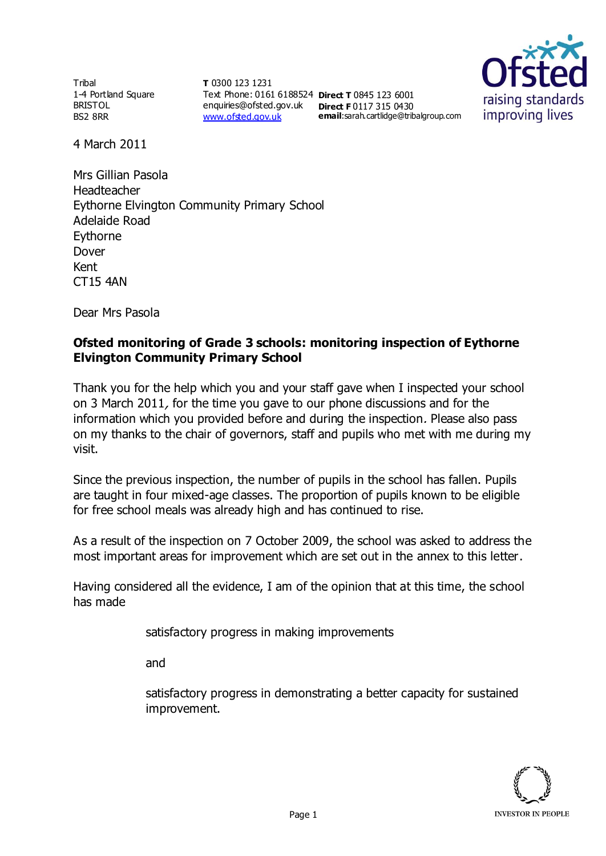**Tribal** 1-4 Portland Square BRISTOL BS2 8RR

**T** 0300 123 1231 Text Phone: 0161 6188524 **Direct T** 0845 123 6001 enquiries@ofsted.gov.uk **Direct F** 0117 315 0430 [www.ofsted.gov.uk](http://www.ofsted.gov.uk/)

**email**:sarah.cartlidge@tribalgroup.com



4 March 2011

Mrs Gillian Pasola Headteacher Eythorne Elvington Community Primary School Adelaide Road Eythorne Dover Kent CT15 4AN

Dear Mrs Pasola

## **Ofsted monitoring of Grade 3 schools: monitoring inspection of Eythorne Elvington Community Primary School**

Thank you for the help which you and your staff gave when I inspected your school on 3 March 2011, for the time you gave to our phone discussions and for the information which you provided before and during the inspection. Please also pass on my thanks to the chair of governors, staff and pupils who met with me during my visit.

Since the previous inspection, the number of pupils in the school has fallen. Pupils are taught in four mixed-age classes. The proportion of pupils known to be eligible for free school meals was already high and has continued to rise.

As a result of the inspection on 7 October 2009, the school was asked to address the most important areas for improvement which are set out in the annex to this letter.

Having considered all the evidence, I am of the opinion that at this time, the school has made

satisfactory progress in making improvements

and

satisfactory progress in demonstrating a better capacity for sustained improvement.

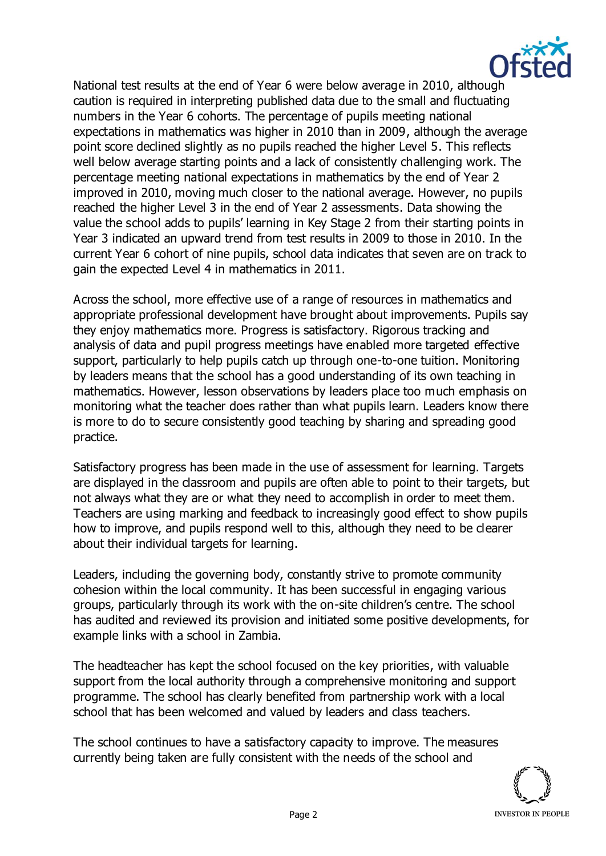

National test results at the end of Year 6 were below average in 2010, although caution is required in interpreting published data due to the small and fluctuating numbers in the Year 6 cohorts. The percentage of pupils meeting national expectations in mathematics was higher in 2010 than in 2009, although the average point score declined slightly as no pupils reached the higher Level 5. This reflects well below average starting points and a lack of consistently challenging work. The percentage meeting national expectations in mathematics by the end of Year 2 improved in 2010, moving much closer to the national average. However, no pupils reached the higher Level 3 in the end of Year 2 assessments. Data showing the value the school adds to pupils' learning in Key Stage 2 from their starting points in Year 3 indicated an upward trend from test results in 2009 to those in 2010. In the current Year 6 cohort of nine pupils, school data indicates that seven are on track to gain the expected Level 4 in mathematics in 2011.

Across the school, more effective use of a range of resources in mathematics and appropriate professional development have brought about improvements. Pupils say they enjoy mathematics more. Progress is satisfactory. Rigorous tracking and analysis of data and pupil progress meetings have enabled more targeted effective support, particularly to help pupils catch up through one-to-one tuition. Monitoring by leaders means that the school has a good understanding of its own teaching in mathematics. However, lesson observations by leaders place too much emphasis on monitoring what the teacher does rather than what pupils learn. Leaders know there is more to do to secure consistently good teaching by sharing and spreading good practice.

Satisfactory progress has been made in the use of assessment for learning. Targets are displayed in the classroom and pupils are often able to point to their targets, but not always what they are or what they need to accomplish in order to meet them. Teachers are using marking and feedback to increasingly good effect to show pupils how to improve, and pupils respond well to this, although they need to be clearer about their individual targets for learning.

Leaders, including the governing body, constantly strive to promote community cohesion within the local community. It has been successful in engaging various groups, particularly through its work with the on-site children's centre. The school has audited and reviewed its provision and initiated some positive developments, for example links with a school in Zambia.

The headteacher has kept the school focused on the key priorities, with valuable support from the local authority through a comprehensive monitoring and support programme. The school has clearly benefited from partnership work with a local school that has been welcomed and valued by leaders and class teachers.

The school continues to have a satisfactory capacity to improve. The measures currently being taken are fully consistent with the needs of the school and

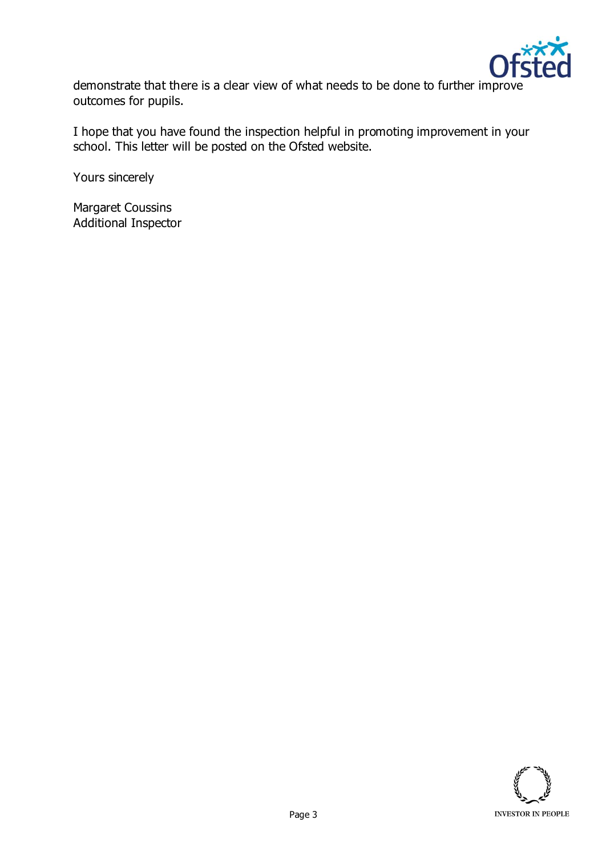

demonstrate that there is a clear view of what needs to be done to further improve outcomes for pupils.

I hope that you have found the inspection helpful in promoting improvement in your school. This letter will be posted on the Ofsted website.

Yours sincerely

Margaret Coussins Additional Inspector